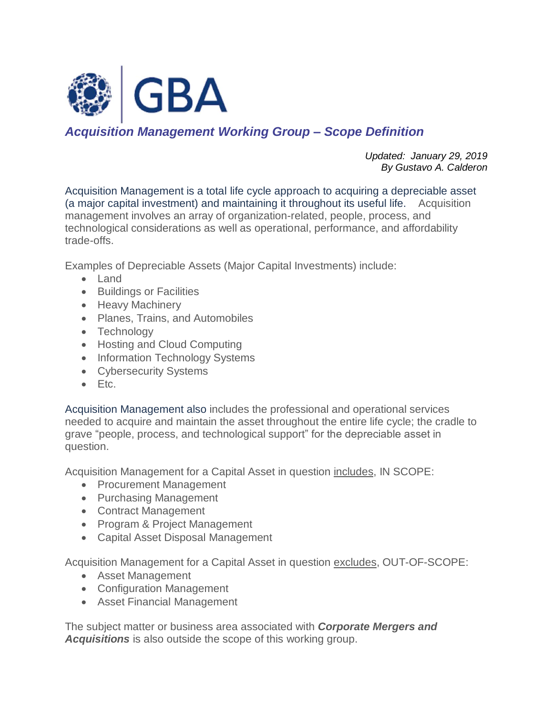

## *Acquisition Management Working Group – Scope Definition*

*Updated: January 29, 2019 By Gustavo A. Calderon*

Acquisition Management is a total life cycle approach to acquiring a depreciable asset (a major capital investment) and maintaining it throughout its useful life. Acquisition management involves an array of organization-related, people, process, and technological considerations as well as operational, performance, and affordability trade-offs.

Examples of Depreciable Assets (Major Capital Investments) include:

- Land
- Buildings or Facilities
- Heavy Machinery
- Planes, Trains, and Automobiles
- Technology
- Hosting and Cloud Computing
- Information Technology Systems
- Cybersecurity Systems
- Etc.

Acquisition Management also includes the professional and operational services needed to acquire and maintain the asset throughout the entire life cycle; the cradle to grave "people, process, and technological support" for the depreciable asset in question.

Acquisition Management for a Capital Asset in question includes, IN SCOPE:

- Procurement Management
- Purchasing Management
- Contract Management
- Program & Project Management
- Capital Asset Disposal Management

Acquisition Management for a Capital Asset in question excludes, OUT-OF-SCOPE:

- Asset Management
- Configuration Management
- Asset Financial Management

The subject matter or business area associated with *Corporate Mergers and Acquisitions* is also outside the scope of this working group.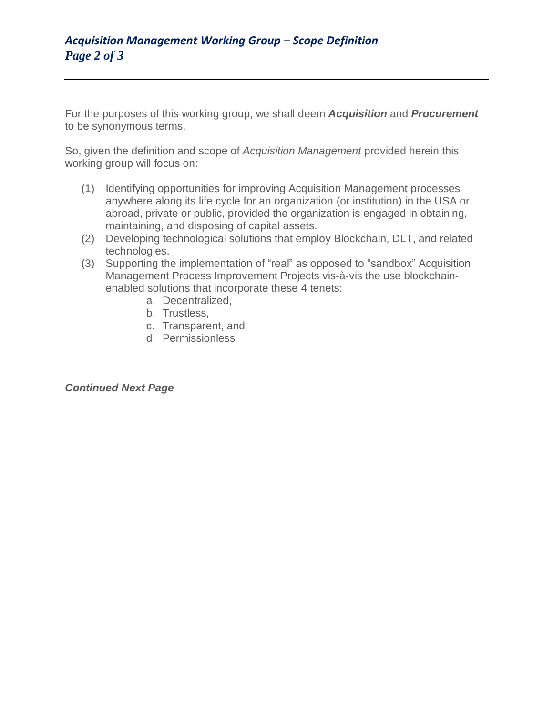For the purposes of this working group, we shall deem *Acquisition* and *Procurement* to be synonymous terms.

So, given the definition and scope of *Acquisition Management* provided herein this working group will focus on:

- (1) Identifying opportunities for improving Acquisition Management processes anywhere along its life cycle for an organization (or institution) in the USA or abroad, private or public, provided the organization is engaged in obtaining, maintaining, and disposing of capital assets.
- (2) Developing technological solutions that employ Blockchain, DLT, and related technologies.
- (3) Supporting the implementation of "real" as opposed to "sandbox" Acquisition Management Process Improvement Projects vis-à-vis the use blockchainenabled solutions that incorporate these 4 tenets:
	- a. Decentralized,
	- b. Trustless,
	- c. Transparent, and
	- d. Permissionless

## *Continued Next Page*